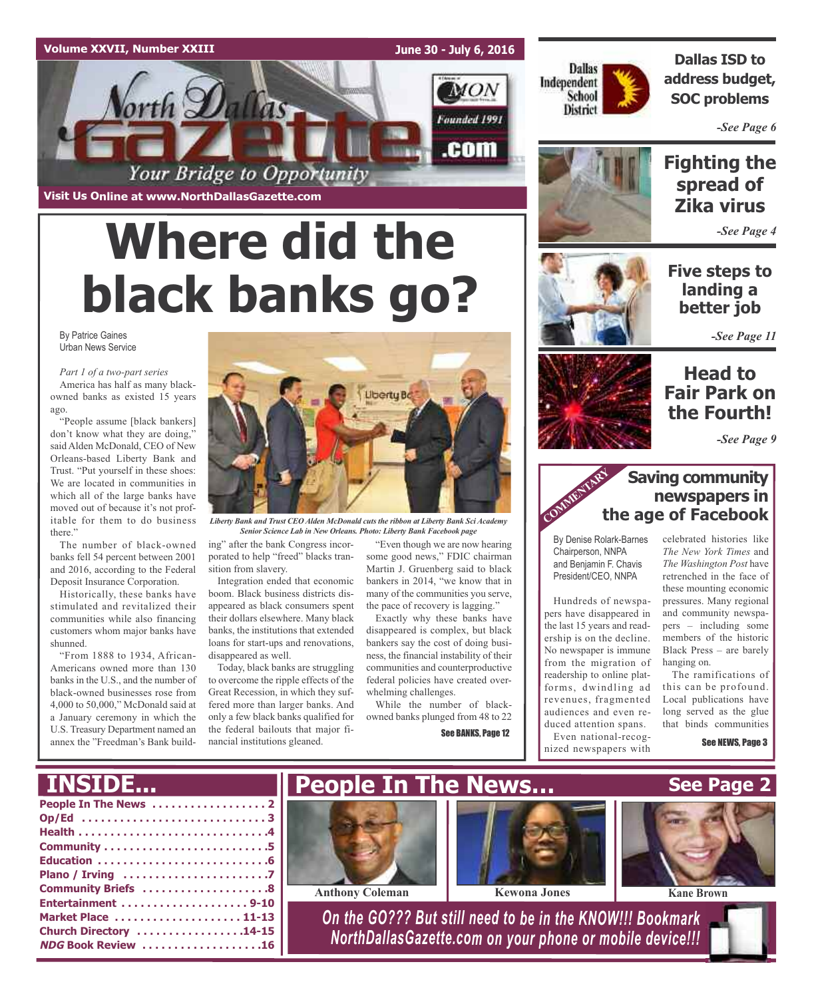## **Volume XXVII, Number XXIII**

**June 30 - July 6, 2016**

MON

Founded 1991

.com



**Dallas ISD to address budget, SOC problems**

*-See Page 6*

**Visit Us Online at www.NorthDallasGazette.com**

# **Where did the black banks go?**

Your Bridge to Opportunity

By Patrice Gaines Urban News Service

*Part 1 of a two-part series* America has half as many blackowned banks as existed 15 years ago.

"People assume [black bankers] don't know what they are doing," said Alden McDonald, CEO of New Orleans-based Liberty Bank and Trust. "Put yourself in these shoes: We are located in communities in which all of the large banks have moved out of because it's not profitable for them to do business there."

The number of black-owned banks fell 54 percent between 2001 and 2016, according to the Federal Deposit Insurance Corporation.

Historically, these banks have stimulated and revitalized their communities while also financing customers whom major banks have shunned.

"From 1888 to 1934, African-Americans owned more than 130 banks in the U.S., and the number of black-owned businesses rose from 4,000 to 50,000," McDonald said at a January ceremony in which the U.S. Treasury Department named an annex the "Freedman's Bank build-



*Liberty Bank and Trust CEO Alden McDonald cuts the ribbon at Liberty Bank Sci Academy Senior Science Lab in New Orleans. Photo: Liberty Bank Facebook page*

ing" after the bank Congress incorporated to help "freed" blacks transition from slavery.

Integration ended that economic boom. Black business districts disappeared as black consumers spent their dollars elsewhere. Many black banks, the institutions that extended loans for start-ups and renovations, disappeared as well.

Today, black banks are struggling to overcome the ripple effects of the Great Recession, in which they suffered more than larger banks. And only a few black banks qualified for the federal bailouts that major financial institutions gleaned.

"Even though we are now hearing some good news," FDIC chairman Martin J. Gruenberg said to black bankers in 2014, "we know that in many of the communities you serve, the pace of recovery is lagging."

Exactly why these banks have disappeared is complex, but black bankers say the cost of doing business, the financial instability of their communities and counterproductive federal policies have created overwhelming challenges.

While the number of blackowned banks plunged from 48 to 22

See BANKS, Page 12





*-See Page 4*

**Five steps to landing a better job**

*-See Page 11*

## **Head to Fair Park on the Fourth!**

*-See Page 9*

## **Saving community newspapers in the age of Facebook**

By Denise Rolark-Barnes Chairperson, NNPA and Benjamin F. Chavis President/CEO, NNPA

COMMENT

Hundreds of newspapers have disappeared in the last 15 years and readership is on the decline. No newspaper is immune from the migration of readership to online platforms, dwindling ad revenues, fragmented audiences and even reduced attention spans.

Even national-recognized newspapers with



The ramifications of this can be profound. Local publications have long served as the glue that binds communities

See NEWS, Page 3

## **People In The News . . . . . . . . . . . . . . . . . . 2 Op/Ed . . . . . . . . . . . . . . . . . . . . . . . . . . . . . 3 Health . . . . . . . . . . . . . . . . . . . . . . . . . . . . . .4 Community . . . . . . . . . . . . . . . . . . . . . . . . . .5 INSIDE...**

| Community Briefs 8     |  |
|------------------------|--|
| Entertainment 9-10     |  |
| Market Place  11-13    |  |
| Church Directory 14-15 |  |
| NDG Book Review 16     |  |
|                        |  |



**Anthony Coleman Kewona Jones Kane Kane Kane Kane Kane K** 





*On the GO??? But still need to be in the KNOW!!! Bookmark NorthDallasGazette.com on your phone or mobile device!!!*

**See Page 2**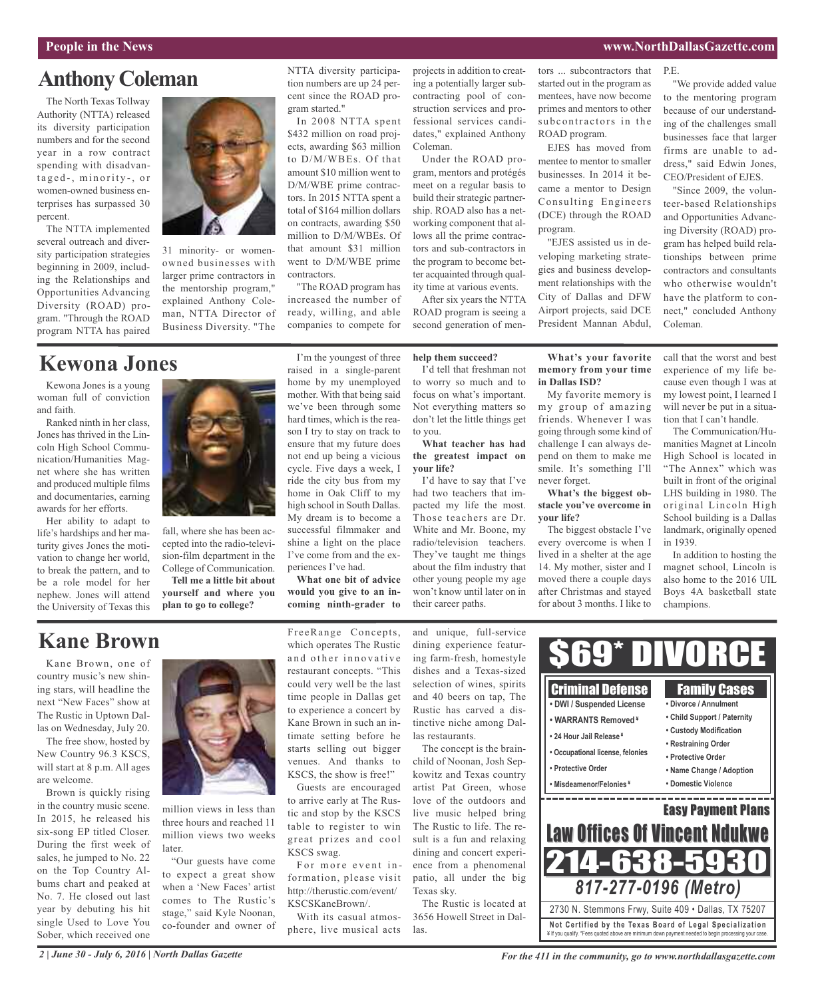#### **People in the News www.NorthDallasGazette.com**

P.E.

# **Anthony Coleman**

The North Texas Tollway Authority (NTTA) released its diversity participation numbers and for the second year in a row contract spending with disadvantaged-, minority-, or women-owned business enterprises has surpassed 30 percent.

The NTTA implemented several outreach and diversity participation strategies beginning in 2009, including the Relationships and Opportunities Advancing Diversity (ROAD) program. "Through the ROAD program NTTA has paired



31 minority- or womenowned businesses with larger prime contractors in the mentorship program," explained Anthony Coleman, NTTA Director of Business Diversity. "The

## **Kewona Jones**

Kewona Jones is a young woman full of conviction and faith.

Ranked ninth in her class, Jones has thrived in the Lincoln High School Communication/Humanities Magnet where she has written and produced multiple films and documentaries, earning awards for her efforts.

Her ability to adapt to life's hardships and her maturity gives Jones the motivation to change her world, to break the pattern, and to be a role model for her nephew. Jones will attend the University of Texas this



fall, where she has been accepted into the radio-television-film department in the College of Communication.

**Tell me a little bit about yourself and where you plan to go to college?**

NTTA diversity participation numbers are up 24 percent since the ROAD program started."

In 2008 NTTA spent \$432 million on road projects, awarding \$63 million to D/M/WBEs. Of that amount \$10 million went to D/M/WBE prime contractors. In 2015 NTTA spent a total of \$164 million dollars on contracts, awarding \$50 million to D/M/WBEs. Of that amount \$31 million went to D/M/WBE prime contractors.

increased the number of ready, willing, and able companies to compete for

mother. With that being said we've been through some hard times, which is the reason I try to stay on track to ensure that my future does not end up being a vicious cycle. Five days a week, I ride the city bus from my home in Oak Cliff to my high school in South Dallas. My dream is to become a successful filmmaker and shine a light on the place I've come from and the ex-

I'm the youngest of three raised in a single-parent home by my unemployed "The ROAD program has

projects in addition to creating a potentially larger subcontracting pool of construction services and professional services candidates," explained Anthony Coleman.

Under the ROAD program, mentors and protégés meet on a regular basis to build their strategic partnership. ROAD also has a networking component that allows all the prime contractors and sub-contractors in the program to become better acquainted through quality time at various events.

After six years the NTTA ROAD program is seeing a second generation of men-

### **help them succeed?**

I'd tell that freshman not to worry so much and to focus on what's important. Not everything matters so don't let the little things get to you.

**What teacher has had the greatest impact on your life?**

I'd have to say that I've had two teachers that impacted my life the most. Those teachers are Dr. White and Mr. Boone, my radio/television teachers. They've taught me things about the film industry that other young people my age won't know until later on in their career paths.

tors ... subcontractors that started out in the program as mentees, have now become primes and mentors to other subcontractors in the ROAD program.

EJES has moved from mentee to mentor to smaller businesses. In 2014 it became a mentor to Design Consulting Engineers (DCE) through the ROAD program.

"EJES assisted us in developing marketing strategies and business development relationships with the City of Dallas and DFW Airport projects, said DCE President Mannan Abdul,

"We provide added value to the mentoring program because of our understanding of the challenges small businesses face that larger firms are unable to address," said Edwin Jones, CEO/President of EJES.

"Since 2009, the volunteer-based Relationships and Opportunities Advancing Diversity (ROAD) program has helped build relationships between prime contractors and consultants who otherwise wouldn't have the platform to connect," concluded Anthony Coleman.

**What's your favorite memory from your time in Dallas ISD?**

My favorite memory is my group of amazing friends. Whenever I was going through some kind of challenge I can always depend on them to make me smile. It's something I'll never forget.

**What's the biggest obstacle you've overcome in your life?**

The biggest obstacle I've every overcome is when I lived in a shelter at the age 14. My mother, sister and I moved there a couple days after Christmas and stayed for about 3 months. I like to

call that the worst and best experience of my life because even though I was at my lowest point, I learned I will never be put in a situation that I can't handle.

The Communication/Humanities Magnet at Lincoln High School is located in "The Annex" which was built in front of the original LHS building in 1980. The original Lincoln High School building is a Dallas landmark, originally opened in 1939.

In addition to hosting the magnet school, Lincoln is also home to the 2016 UIL Boys 4A basketball state champions.

# **Kane Brown**

Kane Brown, one of country music's new shining stars, will headline the next "New Faces" show at The Rustic in Uptown Dallas on Wednesday, July 20.

The free show, hosted by New Country 96.3 KSCS, will start at 8 p.m. All ages are welcome.

Brown is quickly rising in the country music scene. In 2015, he released his six-song EP titled Closer. During the first week of sales, he jumped to No. 22 on the Top Country Albums chart and peaked at No. 7. He closed out last year by debuting his hit single Used to Love You Sober, which received one



million views in less than three hours and reached 11 million views two weeks later.

"Our guests have come to expect a great show when a 'New Faces' artist comes to The Rustic's stage," said Kyle Noonan, co-founder and owner of FreeRange Concepts, which operates The Rustic and other innovative restaurant concepts. "This could very well be the last time people in Dallas get to experience a concert by Kane Brown in such an intimate setting before he starts selling out bigger venues. And thanks to KSCS, the show is free!"

periences I've had.

**What one bit of advice would you give to an incoming ninth-grader to**

Guests are encouraged to arrive early at The Rustic and stop by the KSCS table to register to win great prizes and cool KSCS swag.

For more event information, please visit http://therustic.com/event/ KSCSKaneBrown/.

With its casual atmosphere, live musical acts

and unique, full-service dining experience featuring farm-fresh, homestyle dishes and a Texas-sized selection of wines, spirits and 40 beers on tap, The Rustic has carved a distinctive niche among Dallas restaurants.

The concept is the brainchild of Noonan, Josh Sepkowitz and Texas country artist Pat Green, whose love of the outdoors and live music helped bring The Rustic to life. The result is a fun and relaxing dining and concert experience from a phenomenal patio, all under the big Texas sky.

The Rustic is located at 3656 Howell Street in Dallas.

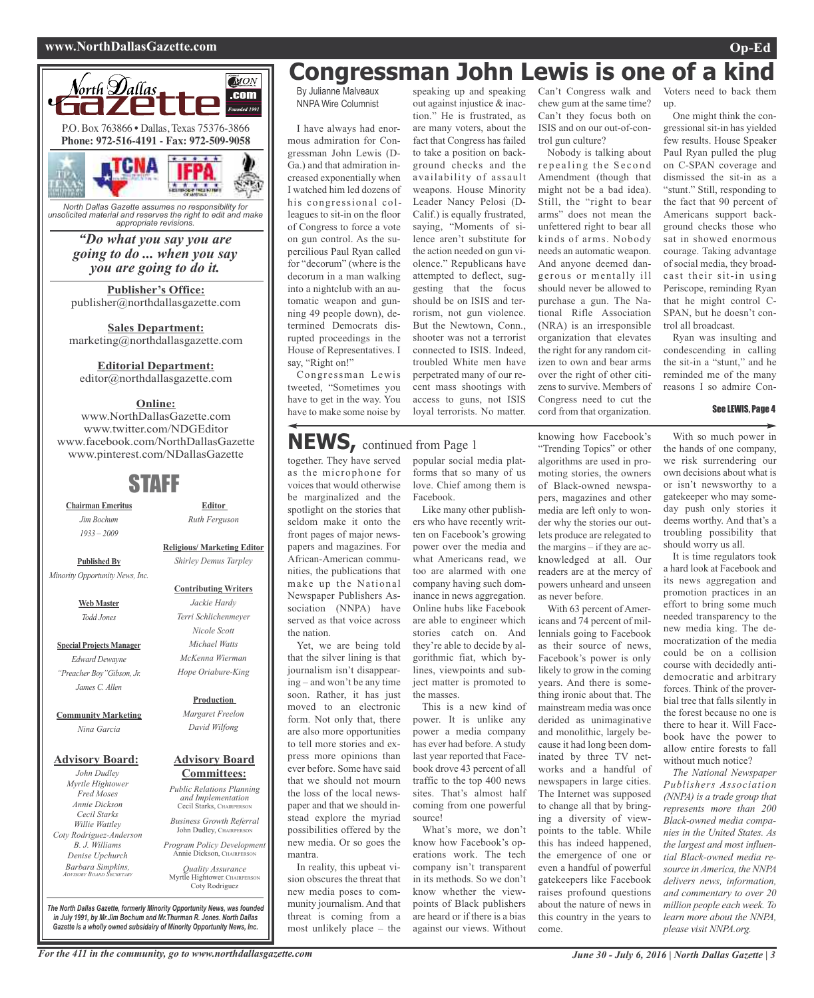## **www.NorthDallasGazette.com Op-Ed**



*North Dallas Gazette assumes no responsibility for unsolicited material and reserves the right to edit and make appropriate revisions.*

## *"Do what you say you are going to do ... when you say you are going to do it.*

**Publisher's Office:** publisher@northdallasgazette.com

**Sales Department:** marketing@northdallasgazette.com

## **Editorial Department:**

editor@northdallasgazette.com

## **Online:**

www.NorthDallasGazette.com www.twitter.com/NDGEditor www.facebook.com/NorthDallasGazette www.pinterest.com/NDallasGazette

## STAFF

**Chairman Emeritus** *Jim Bochum 1933 – 2009*

**Published By**

*Minority Opportunity News, Inc.*

**Web Master** *Todd Jones*

**Special Projects Manager** *Edward Dewayne "Preacher Boy"Gibson, Jr. James C. Allen*

#### **Community Marketing** *Nina Garcia*

## **Advisory Board:**

*John Dudley Myrtle Hightower Fred Moses Annie Dickson Cecil Starks Willie Wattley Coty Rodriguez-Anderson B. J. Williams Denise Upchurch Barbara Simpkins, ADVISORY BOARD SECRETARY*

**Religious/ Marketing Editor** *Shirley Demus Tarpley*

**Editor** *Ruth Ferguson*

#### **Contributing Writers**

*Jackie Hardy Terri Schlichenmeyer Nicole Scott Michael Watts McKenna Wierman Hope Oriabure-King*

#### **Production**

*Margaret Freelon David Wilfong*

### **Advisory Board Committees:**

*Public Relations Planning and Implementation* Cecil Starks, CHAIRPERSON

*Business Growth Referral* John Dudley, CHAIRPERSON

*Program Policy Development* Annie Dickson, CHAIRPER

*Quality Assurance* Myrtle Hightower, CHAIRPERSON Coty Rodriguez

**Congressman John Lewis is one of a kind**

By Julianne Malveaux NNPA Wire Columnist

I have always had enormous admiration for Congressman John Lewis (D-Ga.) and that admiration increased exponentially when I watched him led dozens of his congressional colleagues to sit-in on the floor of Congress to force a vote on gun control. As the supercilious Paul Ryan called for "decorum" (where is the decorum in a man walking into a nightclub with an automatic weapon and gunning 49 people down), determined Democrats disrupted proceedings in the House of Representatives. I say, "Right on!"

Congressman Lewis tweeted, "Sometimes you have to get in the way. You have to make some noise by

speaking up and speaking out against injustice & inaction." He is frustrated, as are many voters, about the fact that Congress has failed to take a position on background checks and the availability of assault weapons. House Minority Leader Nancy Pelosi (D-Calif.) is equally frustrated, saying, "Moments of silence aren't substitute for the action needed on gun violence." Republicans have attempted to deflect, suggesting that the focus should be on ISIS and terrorism, not gun violence. But the Newtown, Conn., shooter was not a terrorist connected to ISIS. Indeed, troubled White men have perpetrated many of our recent mass shootings with access to guns, not ISIS loyal terrorists. No matter.

Can't Congress walk and chew gum at the same time? Can't they focus both on ISIS and on our out-of-control gun culture?

Nobody is talking about repealing the Second Amendment (though that might not be a bad idea). Still, the "right to bear arms" does not mean the unfettered right to bear all kinds of arms. Nobody needs an automatic weapon. And anyone deemed dangerous or mentally ill should never be allowed to purchase a gun. The National Rifle Association (NRA) is an irresponsible organization that elevates the right for any random citizen to own and bear arms over the right of other citizens to survive. Members of Congress need to cut the cord from that organization.

Voters need to back them up.

One might think the congressional sit-in has yielded few results. House Speaker Paul Ryan pulled the plug on C-SPAN coverage and dismissed the sit-in as a "stunt." Still, responding to the fact that 90 percent of Americans support background checks those who sat in showed enormous courage. Taking advantage of social media, they broadcast their sit-in using Periscope, reminding Ryan that he might control C-SPAN, but he doesn't control all broadcast.

Ryan was insulting and condescending in calling the sit-in a "stunt," and he reminded me of the many reasons I so admire Con-

## See LEWIS, Page 4

together. They have served **NEWS,** continued from Page <sup>1</sup>

as the microphone for voices that would otherwise be marginalized and the spotlight on the stories that seldom make it onto the front pages of major newspapers and magazines. For African-American communities, the publications that make up the National Newspaper Publishers Association (NNPA) have served as that voice across the nation.

Yet, we are being told that the silver lining is that journalism isn't disappearing – and won't be any time soon. Rather, it has just moved to an electronic form. Not only that, there are also more opportunities to tell more stories and express more opinions than ever before. Some have said that we should not mourn the loss of the local newspaper and that we should instead explore the myriad possibilities offered by the new media. Or so goes the mantra.

In reality, this upbeat vision obscures the threat that new media poses to community journalism. And that threat is coming from a most unlikely place – the

popular social media platforms that so many of us love. Chief among them is Facebook.

Like many other publishers who have recently written on Facebook's growing power over the media and what Americans read, we too are alarmed with one company having such dominance in news aggregation. Online hubs like Facebook are able to engineer which stories catch on. And they're able to decide by algorithmic fiat, which bylines, viewpoints and subject matter is promoted to the masses.

This is a new kind of power. It is unlike any power a media company has ever had before. A study last year reported that Facebook drove 43 percent of all traffic to the top 400 news sites. That's almost half coming from one powerful source!

What's more, we don't know how Facebook's operations work. The tech company isn't transparent in its methods. So we don't know whether the viewpoints of Black publishers are heard or if there is a bias against our views. Without

knowing how Facebook's "Trending Topics" or other algorithms are used in promoting stories, the owners of Black-owned newspapers, magazines and other media are left only to wonder why the stories our outlets produce are relegated to the margins – if they are acknowledged at all. Our readers are at the mercy of powers unheard and unseen as never before.

With 63 percent of Americans and 74 percent of millennials going to Facebook as their source of news, Facebook's power is only likely to grow in the coming years. And there is something ironic about that. The mainstream media was once derided as unimaginative and monolithic, largely because it had long been dominated by three TV networks and a handful of newspapers in large cities. The Internet was supposed to change all that by bringing a diversity of viewpoints to the table. While this has indeed happened, the emergence of one or even a handful of powerful gatekeepers like Facebook raises profound questions about the nature of news in this country in the years to come.

With so much power in the hands of one company, we risk surrendering our own decisions about what is or isn't newsworthy to a gatekeeper who may someday push only stories it deems worthy. And that's a troubling possibility that should worry us all.

It is time regulators took a hard look at Facebook and its news aggregation and promotion practices in an effort to bring some much needed transparency to the new media king. The democratization of the media could be on a collision course with decidedly antidemocratic and arbitrary forces. Think of the proverbial tree that falls silently in the forest because no one is there to hear it. Will Facebook have the power to allow entire forests to fall without much notice?

*The National Newspaper Publishers Association (NNPA) is a trade group that represents more than 200 Black-owned media companies in the United States. As the largest and most influential Black-owned media resource in America, the NNPA delivers news, information, and commentary to over 20 million people each week. To learn more about the NNPA, please visit NNPA.org.*

*The North Dallas Gazette, formerly Minority Opportunity News, was founded in July 1991, by Mr.Jim Bochum and Mr.Thurman R. Jones. North Dallas Gazette is a wholly owned subsidairy of Minority Opportunity News, Inc.*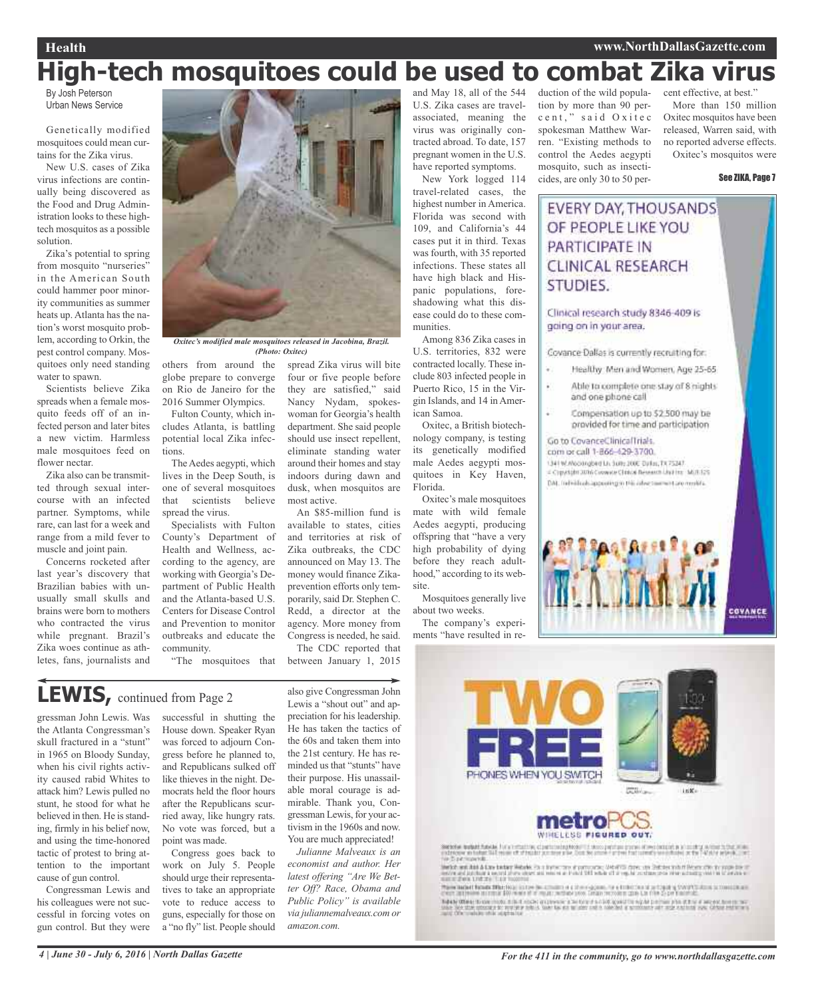## **Health www.NorthDallasGazette.com**

# **High-tech mosquitoes could be used to combat Zika virus**

By Josh Peterson Urban News Service

Genetically modified mosquitoes could mean curtains for the Zika virus.

New U.S. cases of Zika virus infections are continually being discovered as the Food and Drug Administration looks to these hightech mosquitos as a possible solution.

Zika's potential to spring from mosquito "nurseries" in the American South could hammer poor minority communities as summer heats up. Atlanta has the nation's worst mosquito problem, according to Orkin, the pest control company. Mosquitoes only need standing water to spawn.

Scientists believe Zika spreads when a female mosquito feeds off of an infected person and later bites a new victim. Harmless male mosquitoes feed on flower nectar.

Zika also can be transmitted through sexual intercourse with an infected partner. Symptoms, while rare, can last for a week and range from a mild fever to muscle and joint pain.

Concerns rocketed after last year's discovery that Brazilian babies with unusually small skulls and brains were born to mothers who contracted the virus while pregnant. Brazil's Zika woes continue as athletes, fans, journalists and



*Oxitec's modified male mosquitoes released in Jacobina, Brazil. (Photo: Oxitec)*

spread Zika virus will bite four or five people before they are satisfied," said Nancy Nydam, spokeswoman for Georgia's health department. She said people should use insect repellent, eliminate standing water around their homes and stay indoors during dawn and dusk, when mosquitos are

An \$85-million fund is available to states, cities and territories at risk of Zika outbreaks, the CDC announced on May 13. The money would finance Zikaprevention efforts only temporarily, said Dr. Stephen C. Redd, a director at the agency. More money from Congress is needed, he said. The CDC reported that between January 1, 2015

most active.

others from around the globe prepare to converge on Rio de Janeiro for the 2016 Summer Olympics.

Fulton County, which includes Atlanta, is battling potential local Zika infections.

The Aedes aegypti, which lives in the Deep South, is one of several mosquitoes that scientists believe spread the virus.

Specialists with Fulton County's Department of Health and Wellness, according to the agency, are working with Georgia's Department of Public Health and the Atlanta-based U.S. Centers for Disease Control and Prevention to monitor outbreaks and educate the community.

"The mosquitoes that

**LEWIS,** continued from Page <sup>2</sup>

gressman John Lewis. Was the Atlanta Congressman's skull fractured in a "stunt" in 1965 on Bloody Sunday, when his civil rights activity caused rabid Whites to attack him? Lewis pulled no stunt, he stood for what he believed in then. He is standing, firmly in his belief now, and using the time-honored tactic of protest to bring attention to the important cause of gun control.

Congressman Lewis and his colleagues were not successful in forcing votes on gun control. But they were

successful in shutting the House down. Speaker Ryan was forced to adjourn Congress before he planned to, and Republicans sulked off like thieves in the night. Democrats held the floor hours after the Republicans scurried away, like hungry rats. No vote was forced, but a point was made.

Congress goes back to work on July 5. People should urge their representatives to take an appropriate vote to reduce access to guns, especially for those on a "no fly" list. People should also give Congressman John Lewis a "shout out" and appreciation for his leadership. He has taken the tactics of the 60s and taken them into the 21st century. He has reminded us that "stunts" have their purpose. His unassailable moral courage is admirable. Thank you, Congressman Lewis, for your activism in the 1960s and now. You are much appreciated!

*Julianne Malveaux is an economist and author. Her latest offering "Are We Better Off? Race, Obama and Public Policy" is available via juliannemalveaux.com or amazon.com.*

and May 18, all of the 544 U.S. Zika cases are travelassociated, meaning the virus was originally contracted abroad. To date, 157 pregnant women in the U.S. have reported symptoms.

New York logged 114 travel-related cases, the highest number in America. Florida was second with 109, and California's 44 cases put it in third. Texas was fourth, with 35 reported infections. These states all have high black and Hispanic populations, foreshadowing what this disease could do to these communities.

Among 836 Zika cases in U.S. territories, 832 were contracted locally. These include 803 infected people in Puerto Rico, 15 in the Virgin Islands, and 14 in American Samoa.

Oxitec, a British biotechnology company, is testing its genetically modified male Aedes aegypti mosquitoes in Key Haven, Florida.

Oxitec's male mosquitoes mate with wild female Aedes aegypti, producing offspring that "have a very high probability of dying before they reach adulthood," according to its website.

Mosquitoes generally live about two weeks.

The company's experiments "have resulted in reduction of the wild population by more than 90 perc e n t," said O xitec spokesman Matthew Warren. "Existing methods to control the Aedes aegypti mosquito, such as insecticides, are only 30 to 50 per-

cent effective, at best."

More than 150 million Oxitec mosquitos have been released, Warren said, with no reported adverse effects. Oxitec's mosquitos were

See ZIKA, Page 7

## EVERY DAY, THOUSANDS OF PEOPLE LIKE YOU PARTICIPATE IN **CLINICAL RESEARCH** STUDIES.

Clinical research study 8346-409 is going on in your area.

Covance Dallas is currently recruiting for:

- Healthy: Men and Women, Age 25-65.
- Able to complete one stay of 8 hights' and one phone call
- Compensation up to \$2.500 may be provided for time and participation

#### Go to CovanceClinicalTrials. com or call 1-866-429-3700.

1341 W. Woodingbert Liv Suite 200E Duiler, TX 75247 Copyright 30th Coverer Clubal Bessern Unit Inc. MOT 125 DAL To hidrobiappointg to this inher teamers are mushful.









SSCREAK fractable for a large structure of the state of the state of the state of the state of the state of the state of the state of the state of the state of the state of the state of the state of the state of the state

Serior and AAA & Law beday Meters, the Bythe term of personals, Meterse days, and Debter with it Monte also its appearance of the Company of the Company of the Company of the Company of the Company of the Company of the Co

These backet facility than the top in the two country is a three signals, he is transformed to the angle of the transformation of the state of the state of the state of the state of the state of the state of the state of t

of the Superior at the ERO was of a study without the Carlo recovers the United Superiorship.<br>Table When these model that model expresses a Substitute of 200 good to again between the RTS of Microsoft and<br>Sand Office and i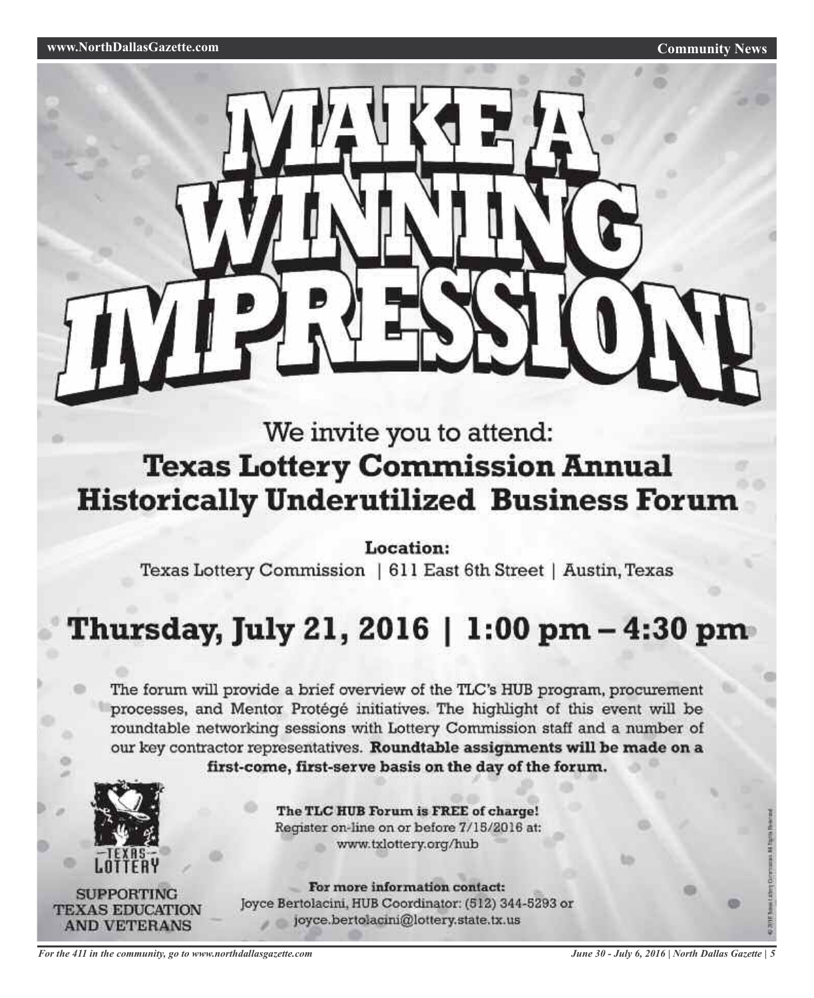

# We invite you to attend: **Texas Lottery Commission Annual Historically Underutilized Business Forum**

Location:

Texas Lottery Commission | 611 East 6th Street | Austin, Texas

# Thursday, July 21, 2016 | 1:00 pm – 4:30 pm

The forum will provide a brief overview of the TLC's HUB program, procurement processes, and Mentor Protégé initiatives. The highlight of this event will be roundtable networking sessions with Lottery Commission staff and a number of our key contractor representatives. Roundtable assignments will be made on a first-come, first-serve basis on the day of the forum.



The TLC HUB Forum is FREE of charge! Register on-line on or before 7/15/2016 at: www.txlottery.org/hub

**SUPPORTING TEXAS EDUCATION AND VETERANS** 

For more information contact: Joyce Bertolacini, HUB Coordinator: (512) 344-5293 or joyce.bertolacini@lottery.state.tx.us

*June 30 - July 6, 2016 | North Dallas Gazette | 5*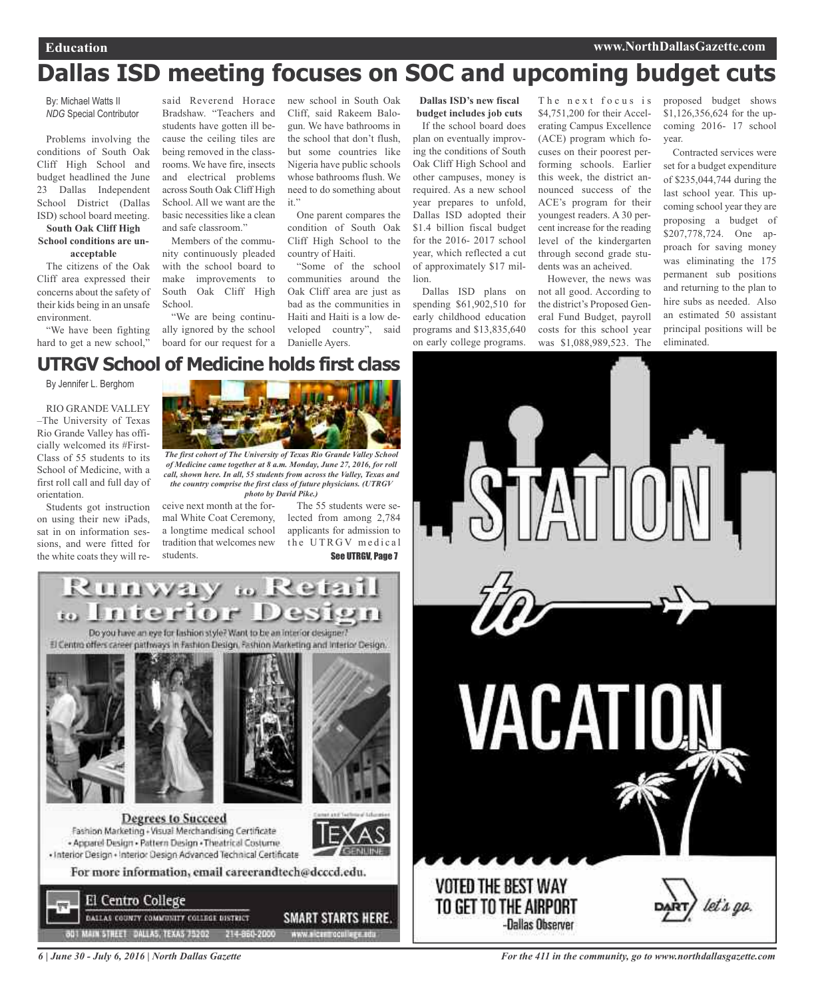# **Dallas ISD meeting focuses on SOC and upcoming budget cuts**

By: Michael Watts II *NDG* Special Contributor

Problems involving the conditions of South Oak Cliff High School and budget headlined the June 23 Dallas Independent School District (Dallas ISD) school board meeting.

#### **South Oak Cliff High School conditions are unacceptable**

The citizens of the Oak Cliff area expressed their concerns about the safety of their kids being in an unsafe environment.

"We have been fighting hard to get a new school,"

said Reverend Horace Bradshaw. "Teachers and students have gotten ill because the ceiling tiles are being removed in the classrooms. We have fire, insects and electrical problems across South Oak Cliff High School. All we want are the basic necessities like a clean and safe classroom."

Members of the community continuously pleaded with the school board to make improvements to South Oak Cliff High School.

"We are being continually ignored by the school board for our request for a

new school in South Oak Cliff, said Rakeem Balogun. We have bathrooms in the school that don't flush, but some countries like Nigeria have public schools whose bathrooms flush. We need to do something about it."

One parent compares the condition of South Oak Cliff High School to the country of Haiti.

"Some of the school communities around the Oak Cliff area are just as bad as the communities in Haiti and Haiti is a low developed country", said Danielle Ayers.

**Dallas ISD's new fiscal budget includes job cuts**

If the school board does plan on eventually improving the conditions of South Oak Cliff High School and other campuses, money is required. As a new school year prepares to unfold, Dallas ISD adopted their \$1.4 billion fiscal budget for the 2016- 2017 school year, which reflected a cut of approximately \$17 million.

Dallas ISD plans on spending \$61,902,510 for early childhood education programs and \$13,835,640 on early college programs.

The next focus is \$4,751,200 for their Accelerating Campus Excellence (ACE) program which focuses on their poorest performing schools. Earlier this week, the district announced success of the ACE's program for their youngest readers. A 30 percent increase for the reading level of the kindergarten through second grade students was an acheived.

However, the news was not all good. According to the district's Proposed General Fund Budget, payroll costs for this school year was \$1,088,989,523. The

proposed budget shows \$1,126,356,624 for the upcoming 2016- 17 school year.

Contracted services were set for a budget expenditure of \$235,044,744 during the last school year. This upcoming school year they are proposing a budget of \$207,778,724. One approach for saving money was eliminating the 175 permanent sub positions and returning to the plan to hire subs as needed. Also an estimated 50 assistant principal positions will be eliminated.

## **UTRGV School of Medicine holds first class**

By Jennifer L. Berghom

RIO GRANDE VALLEY –The University of Texas Rio Grande Valley has officially welcomed its #First-Class of 55 students to its School of Medicine, with a first roll call and full day of orientation.

Students got instruction on using their new iPads, sat in on information sessions, and were fitted for the white coats they will re-



*The first cohort of The University of Texas Rio Grande Valley School of Medicine came together at 8 a.m. Monday, June 27, 2016, for roll call, shown here. In all, 55 students from across the Valley, Texas and the country comprise the first class of future physicians. (UTRGV photo by David Pike.)*

ceive next month at the formal White Coat Ceremony, a longtime medical school tradition that welcomes new students.

The 55 students were selected from among 2,784 applicants for admission to the UTRGV medical See UTRGV, Page 7





*6 | June 30 - July 6, 2016 | North Dallas Gazette*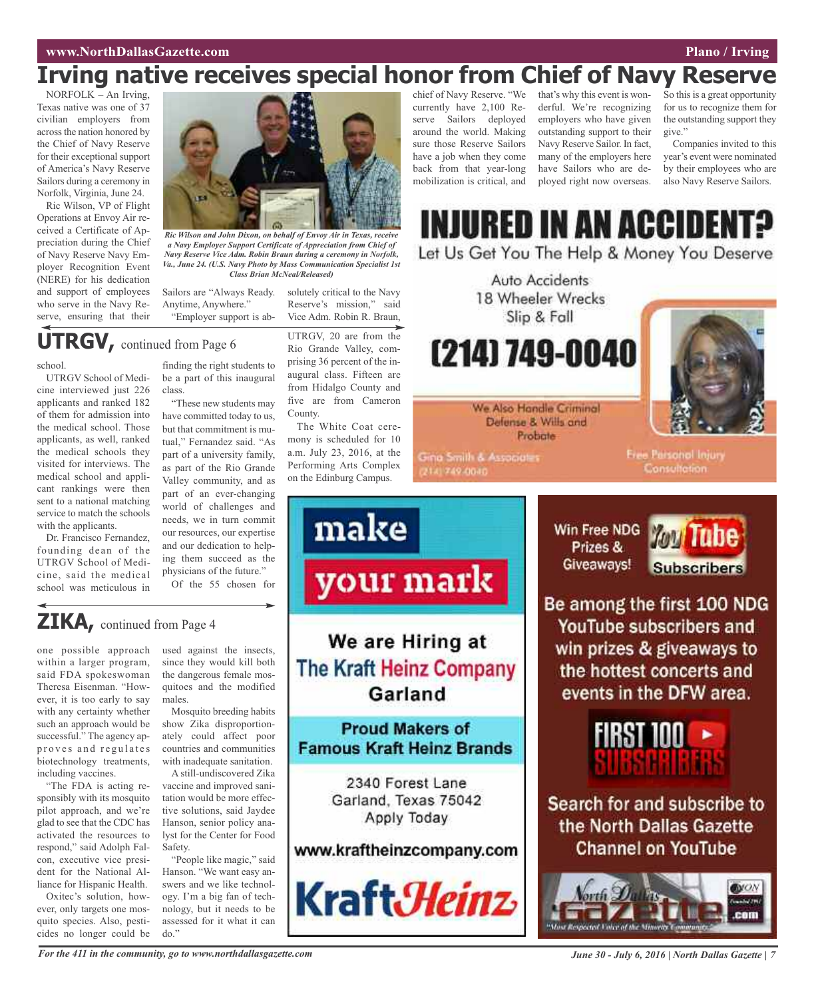## **www.NorthDallasGazette.com Plano / Irving**

# **Irving native receives special honor from Chief of Navy Reserve**

NORFOLK – An Irving, Texas native was one of 37 civilian employers from across the nation honored by the Chief of Navy Reserve for their exceptional support of America's Navy Reserve Sailors during a ceremony in Norfolk, Virginia, June 24.

Ric Wilson, VP of Flight Operations at Envoy Air received a Certificate of Appreciation during the Chief of Navy Reserve Navy Employer Recognition Event (NERE) for his dedication and support of employees who serve in the Navy Reserve, ensuring that their



*Ric Wilson and John Dixon, on behalf of Envoy Air in Texas, receive a Navy Employer Support Certificate of Appreciation from Chief of Navy Reserve Vice Adm. Robin Braun during a ceremony in Norfolk, Va., June 24. (U.S. Navy Photo by Mass Communication Specialist 1st Class Brian McNeal/Released)*

Sailors are "Always Ready. Anytime, Anywhere." "Employer support is absolutely critical to the Navy Reserve's mission," said Vice Adm. Robin R. Braun,

# **UTRGV,** continued from Page <sup>6</sup>

## school.

UTRGV School of Medicine interviewed just 226 applicants and ranked 182 of them for admission into the medical school. Those applicants, as well, ranked the medical schools they visited for interviews. The medical school and applicant rankings were then sent to a national matching service to match the schools with the applicants.

Dr. Francisco Fernandez, founding dean of the UTRGV School of Medicine, said the medical school was meticulous in

finding the right students to be a part of this inaugural class.

"These new students may have committed today to us, but that commitment is mutual," Fernandez said. "As part of a university family, as part of the Rio Grande Valley community, and as part of an ever-changing world of challenges and needs, we in turn commit our resources, our expertise and our dedication to helping them succeed as the physicians of the future." Of the 55 chosen for

UTRGV, 20 are from the Rio Grande Valley, comprising 36 percent of the inaugural class. Fifteen are from Hidalgo County and five are from Cameron County.

The White Coat ceremony is scheduled for 10 a.m. July 23, 2016, at the Performing Arts Complex on the Edinburg Campus.

make

## chief of Navy Reserve. "We currently have 2,100 Reserve Sailors deployed around the world. Making sure those Reserve Sailors have a job when they come back from that year-long mobilization is critical, and

that's why this event is wonderful. We're recognizing employers who have given outstanding support to their Navy Reserve Sailor. In fact, many of the employers here have Sailors who are deployed right now overseas.

So this is a great opportunity for us to recognize them for the outstanding support they give."

Companies invited to this year's event were nominated by their employees who are also Navy Reserve Sailors.

INJURED IN AN ACCIDENT Let Us Get You The Help & Money You Deserve

> Auto Accidents 18 Wheeler Wrecks Slip & Fall

(214) 749-0040



We Also Handle Criminal Defense & Wills and Probate

Gina Smith & Associates 2141749-0040

**Free Parsonol Injury** Consultation.



**You Tube Subscribers** 

Be among the first 100 NDG YouTube subscribers and win prizes & giveaways to the hottest concerts and events in the DFW area.



Search for and subscribe to the North Dallas Gazette **Channel on YouTube** 



## **ZIKA,** continued from Page <sup>4</sup>

one possible approach within a larger program, said FDA spokeswoman Theresa Eisenman. "However, it is too early to say with any certainty whether such an approach would be successful." The agency approves and regulates biotechnology treatments, including vaccines.

"The FDA is acting responsibly with its mosquito pilot approach, and we're glad to see that the CDC has activated the resources to respond," said Adolph Falcon, executive vice president for the National Alliance for Hispanic Health.

Oxitec's solution, however, only targets one mosquito species. Also, pesticides no longer could be used against the insects, since they would kill both the dangerous female mosquitoes and the modified males.

Mosquito breeding habits show Zika disproportionately could affect poor countries and communities with inadequate sanitation.

A still-undiscovered Zika vaccine and improved sanitation would be more effective solutions, said Jaydee Hanson, senior policy analyst for the Center for Food Safety.

"People like magic," said Hanson. "We want easy answers and we like technology. I'm a big fan of technology, but it needs to be assessed for it what it can do."

We are Hiring at **The Kraft Heinz Company** Garland

your mark

## **Proud Makers of Famous Kraft Heinz Brands**

2340 Forest Lane Garland, Texas 75042 Apply Today

## www.kraftheinzcompany.com



For the 411 in the community, go to www.northdallasgazette.com June 30 - July 6, 2016 | North Dallas Gazette | 7

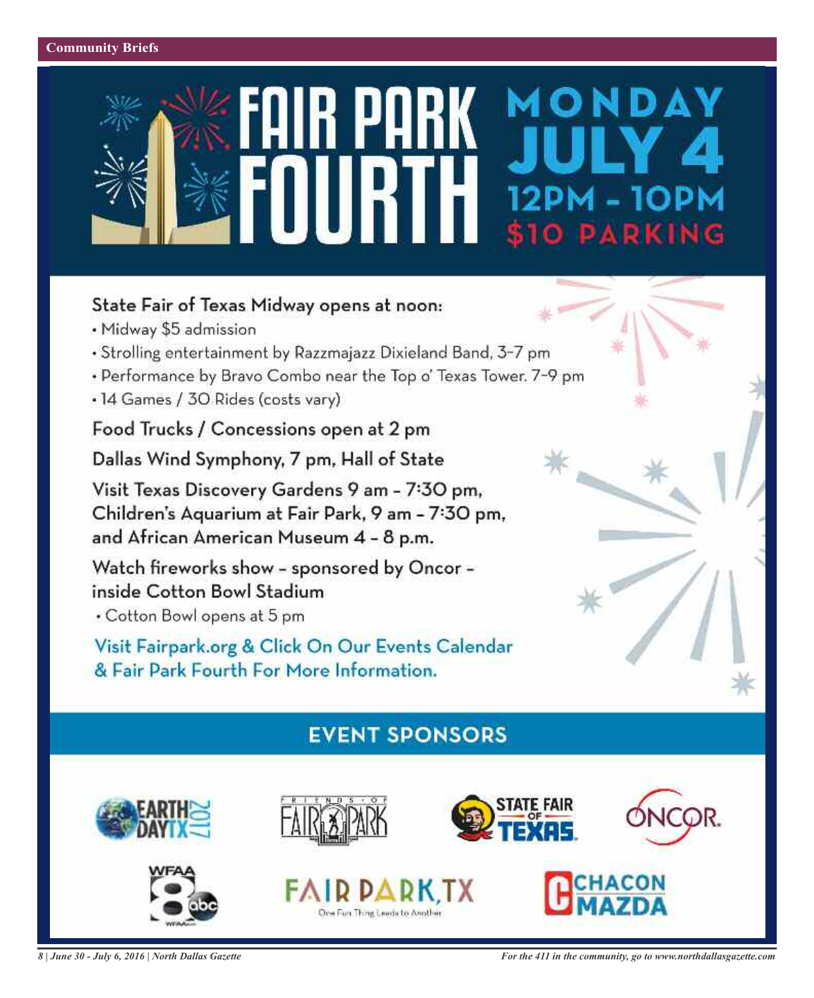# MONDAY O PARKING

## State Fair of Texas Midway opens at noon:

- · Midway \$5 admission
- · Strolling entertainment by Razzmajazz Dixieland Band, 3-7 pm
- Performance by Bravo Combo near the Top o' Texas Tower. 7-9 pm
- 14 Games / 30 Rides (costs vary)

Food Trucks / Concessions open at 2 pm

Dallas Wind Symphony, 7 pm, Hall of State

Visit Texas Discovery Gardens 9 am - 7:30 pm, Children's Aquarium at Fair Park, 9 am - 7:30 pm, and African American Museum 4 - 8 p.m.

Watch fireworks show - sponsored by Oncor inside Cotton Bowl Stadium

• Cotton Bowl opens at 5 pm

Visit Fairpark.org & Click On Our Events Calendar & Fair Park Fourth For More Information.

# **EVENT SPONSORS**



One Fun Thing Leads to Another

*8 | June 30 - July 6, 2016 | North Dallas Gazette*

*For the 411 in the community, go to www.northdallasgazette.com*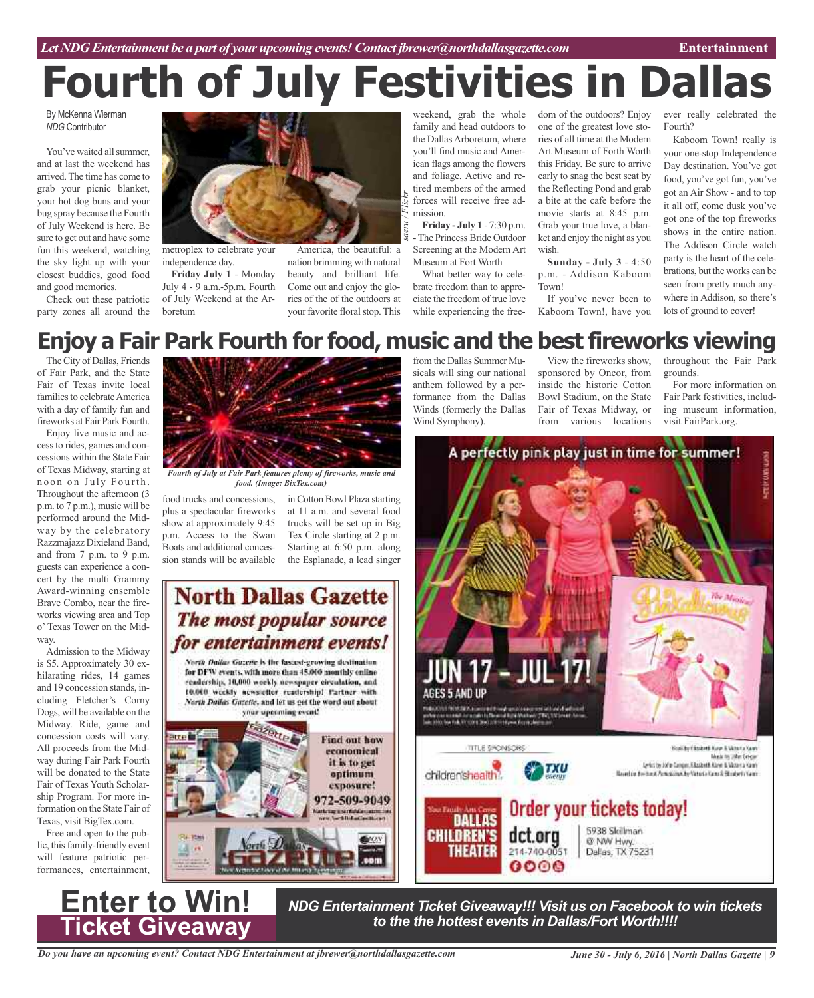# **Fourth of July Festivities in Dallas**

By McKenna Wierman *NDG* Contributor

You've waited all summer and at last the weekend has arrived.The time has come to grab your picnic blanket, your hot dog buns and your bug spray because the Fourth of July Weekend is here. Be sure to get out and have some fun this weekend, watching the sky light up with your closest buddies, good food and good memories.

Check out these patriotic party zones all around the



metroplex to celebrate your independence day.

**Friday July 1** - Monday July 4 - 9 a.m.-5p.m. Fourth of July Weekend at the Arboretum



weekend, grab the whole family and head outdoors to the Dallas Arboretum, where you'll find music and American flags among the flowers and foliage. Active and retired members of the armed forces will receive free admission.

**Friday - July 1** - 7:30 p.m. -The Princess Bride Outdoor Screening at the Modern Art Museum at Fort Worth

What better way to celebrate freedom than to appreciate the freedom of true love while experiencing the free-

sicals will sing our national anthem followed by a performance from the Dallas Winds (formerly the Dallas

Wind Symphony).

dom of the outdoors? Enjoy one of the greatest love stories of all time at the Modern Art Museum of Forth Worth this Friday. Be sure to arrive early to snag the best seat by the Reflecting Pond and grab a bite at the cafe before the movie starts at 8:45 p.m. Grab your true love, a blanket and enjoy the night as you wish.

**Sunday - July 3** - 4:50 p.m. - Addison Kaboom Town!

If you've never been to Kaboom Town!, have you

sponsored by Oncor, from inside the historic Cotton Bowl Stadium, on the State Fair of Texas Midway, or from various locations

A perfectly pink play just in time for summer!

ever really celebrated the Fourth?

Kaboom Town! really is your one-stop Independence Day destination. You've got food, you've got fun, you've got an Air Show - and to top it all off, come dusk you've got one of the top fireworks shows in the entire nation. The Addison Circle watch party is the heart of the celebrations, but the works can be seen from pretty much anywhere in Addison, so there's lots of ground to cover!

For more information on Fair Park festivities, including museum information,

the Minic

Book by Closketh Key & Woorta Sam

Music by John Extern

grounds.

visit FairPark.org.

#### from the Dallas Summer Mu-View the fireworks show, throughout the Fair Park **Enjoy a Fair Park Fourth for food, music and the best fireworks viewing**

TheCity of Dallas, Friends of Fair Park, and the State Fair of Texas invite local families to celebrate America with a day of family fun and fireworks at Fair Park Fourth.

Enjoy live music and accessto rides, games and concessions within the State Fair of Texas Midway, starting at noon on July Fourth. Throughout the afternoon (3 p.m. to 7 p.m.), music will be performed around the Midway by the celebratory Razzmajazz Dixieland Band, and from 7 p.m. to 9 p.m. guests can experience a concert by the multi Grammy Award-winning ensemble Brave Combo, near the fireworks viewing area and Top o' Texas Tower on the Midway.

Admission to the Midway is \$5. Approximately 30 exhilarating rides, 14 games and 19 concession stands, including Fletcher's Corny Dogs, will be available on the Midway. Ride, game and concession costs will vary. All proceeds from the Midway during Fair Park Fourth will be donated to the State Fair of Texas Youth Scholarship Program. For more information on the State Fair of Texas, visit BigTex.com.

Free and open to the public, this family-friendly event will feature patriotic performances, entertainment,

**Enter to Win!**

**Ticket Giveaway**



*Fourth of July at Fair Park features plenty of fireworks, music and food. (Image: BixTex.com)*

food trucks and concessions, plus a spectacular fireworks show at approximately 9:45 p.m. Access to the Swan Boats and additional concession stands will be available

in Cotton Bowl Plaza starting at 11 a.m. and several food trucks will be set up in Big Tex Circle starting at 2 p.m. Starting at 6:50 p.m. along the Esplanade, a lead singer

# **North Dallas Gazette** The most popular source for entertainment events!

North Dailus Guzene is the fasced-growing destination for DFW events, with more than 45.000 monthly enline readership, 10,000 workly newspaper circulation, and 10.000 weekly acwaretter readership! Partner with North Dailas Gazetic, and let us get the word out about your uperming event!

Find out how economical it is to get optimum exposure! 972-509-9049 **BIOV** m





Dallas, TX 75231

*NDG Entertainment Ticket Giveaway!!! Visit us on Facebook to win tickets to the the hottest events in Dallas/Fort Worth!!!!*

 $0000$ 

*June 30 - July 6, 2016 | North Dallas Gazette | 9*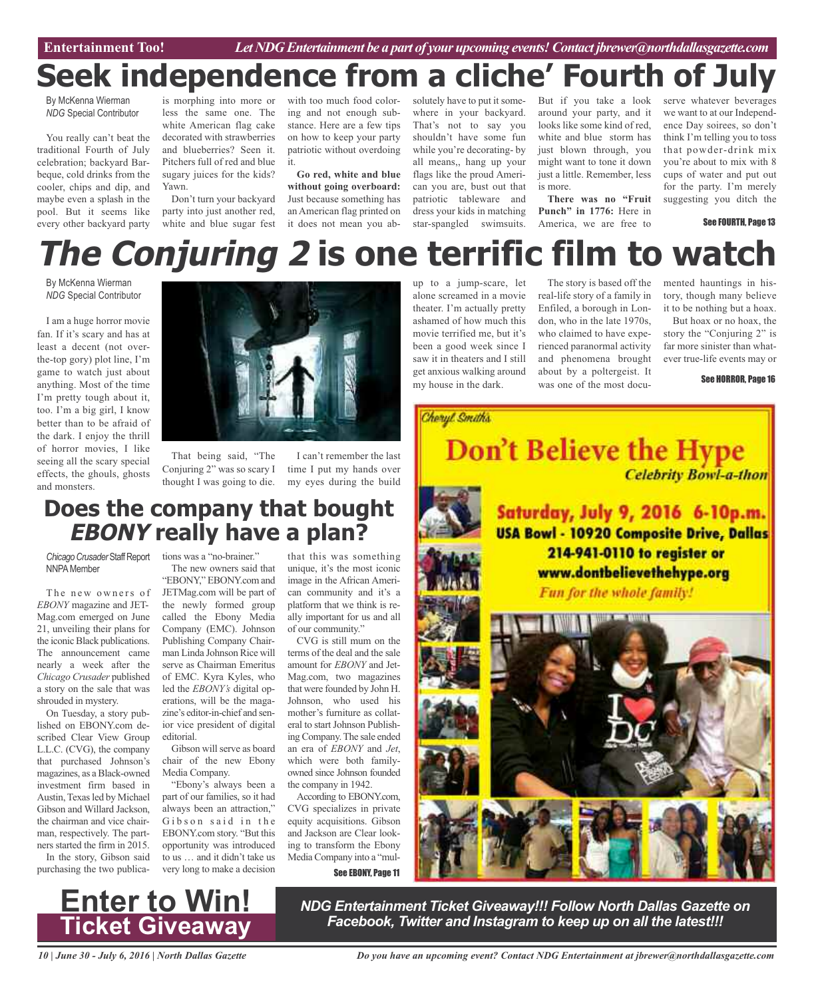Entertainment Too! *Let NDG Entertainment be a part of your upcoming events! Contact jbrewer@northdallasgazette.com* 

# **Seek independence from a cliche' Fourth of July**

By McKenna Wierman *NDG* Special Contributor

You really can't beat the traditional Fourth of July celebration; backyard Barbeque, cold drinks from the cooler, chips and dip, and maybe even a splash in the pool. But it seems like every other backyard party

is morphing into more or less the same one. The white American flag cake decorated with strawberries and blueberries? Seen it. Pitchers full of red and blue sugary juices for the kids? Yawn.

Don't turn your backyard party into just another red, white and blue sugar fest

with too much food coloring and not enough substance. Here are a few tips on how to keep your party patriotic without overdoing it.

**Go red, white and blue without going overboard:** Just because something has an American flag printed on it does not mean you absolutely have to put it somewhere in your backyard. That's not to say you shouldn't have some fun while you're decorating- by all means,, hang up your flags like the proud American you are, bust out that patriotic tableware and dress your kids in matching star-spangled swimsuits.

But if you take a look around your party, and it looks like some kind of red, white and blue storm has just blown through, you might want to tone it down just a little. Remember, less is more.

**There was no "Fruit Punch" in 1776:** Here in America, we are free to

serve whatever beverages we want to at our Independence Day soirees, so don't think I'm telling you to toss that powder-drink mix you're about to mix with 8 cups of water and put out for the party. I'm merely suggesting you ditch the

See FOURTH, Page 13

# **The Conjuring 2 is one terrific film to watch**

By McKenna Wierman *NDG* Special Contributor

I am a huge horror movie fan. If it's scary and has at least a decent (not overthe-top gory) plot line, I'm game to watch just about anything. Most of the time I'm pretty tough about it, too. I'm a big girl, I know better than to be afraid of the dark. I enjoy the thrill of horror movies, I like seeing all the scary special effects, the ghouls, ghosts and monsters.



That being said, "The Conjuring 2" was so scary I thought I was going to die.

I can't remember the last time I put my hands over my eyes during the build

# **Does the company that bought EBONY really have a plan?**

**NNPA** Member

The new owners of *EBONY* magazine and JET-Mag.com emerged on June 21, unveiling their plans for the iconic Black publications. The announcement came nearly a week after the *Chicago Crusader* published a story on the sale that was shrouded in mystery.

On Tuesday, a story published on EBONY.com described Clear View Group L.L.C. (CVG), the company that purchased Johnson's magazines, as aBlack-owned investment firm based in Austin, Texas led by Michael Gibson and Willard Jackson, the chairman and vice chairman, respectively. The partners started the firm in 2015.

In the story, Gibson said purchasing the two publica-

Chicago Crusader Staff Report tions was a "no-brainer."

The new owners said that "EBONY," EBONY.com and JETMag.com will be part of the newly formed group called the Ebony Media Company (EMC). Johnson Publishing Company Chairman Linda Johnson Rice will serve as Chairman Emeritus of EMC. Kyra Kyles, who led the *EBONY's* digital operations, will be the magazine's editor-in-chief and senior vice president of digital editorial.

Gibson will serve as board chair of the new Ebony Media Company.

"Ebony's always been a part of our families, so it had always been an attraction," Gibson said in the EBONY.com story. "But this opportunity was introduced to us … and it didn't take us very long to make a decision

that this was something unique, it's the most iconic image in the African American community and it's a platform that we think is really important for us and all of our community."

CVG is still mum on the terms of the deal and the sale amount for *EBONY* and Jet-Mag.com, two magazines that were founded by John H. Johnson, who used his mother's furniture as collateral to start Johnson PublishingCompany.The sale ended an era of *EBONY* and *Jet*, which were both familyowned since Johnson founded the company in 1942.

According to EBONY.com, CVG specializes in private equity acquisitions. Gibson and Jackson are Clear looking to transform the Ebony MediaCompany into a "mul-

See EBONY, Page 11

up to a jump-scare, let alone screamed in a movie theater. I'm actually pretty ashamed of how much this movie terrified me, but it's been a good week since I saw it in theaters and I still get anxious walking around my house in the dark.

The story is based off the real-life story of a family in Enfiled, a borough in London, who in the late 1970s, who claimed to have experienced paranormal activity and phenomena brought about by a poltergeist. It was one of the most documented hauntings in history, though many believe it to be nothing but a hoax.

But hoax or no hoax, the story the "Conjuring 2" is far more sinister than whatever true-life events may or

See HORROR, Page 16



*NDG Entertainment Ticket Giveaway!!! Follow North Dallas Gazette on Facebook, Twitter and Instagram to keep up on all the latest!!!*

*10 | June 30 - July 6, 2016 | North Dallas Gazette*

**Enter to Win!**

**Ticket Giveaway**

*Do you have an upcoming event? Contact NDG Entertainment at jbrewer@northdallasgazette.com*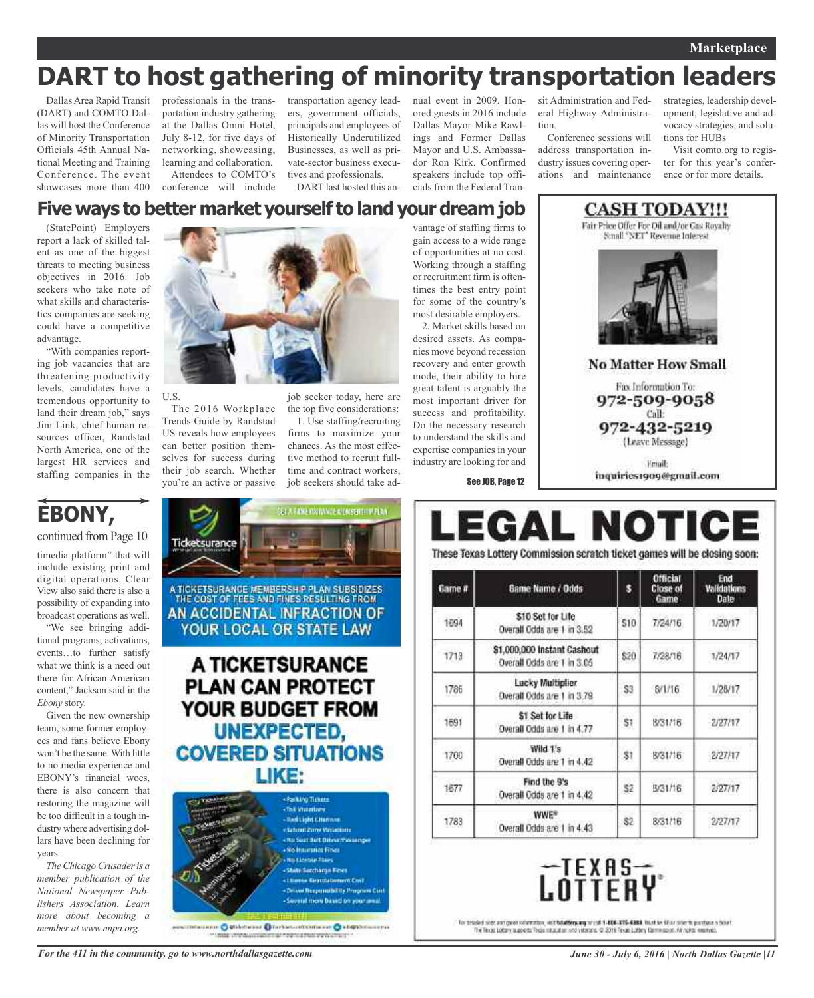## **Marketplace**

# **DART to host gathering of minority transportation leaders**

Dallas Area Rapid Transit (DART) and COMTO Dallas will host the Conference of Minority Transportation Officials 45th Annual National Meeting and Training Conference. The event showcases more than 400

professionals in the transportation industry gathering at the Dallas Omni Hotel, July 8-12, for five days of networking, showcasing, learning and collaboration. Attendees to COMTO's

conference will include

The 2016 Workplace

transportation agency leaders, government officials, principals and employees of Historically Underutilized Businesses, as well as private-sector business executives and professionals.

DART last hosted this an-

nual event in 2009. Honored guests in 2016 include Dallas Mayor Mike Rawlings and Former Dallas Mayor and U.S. Ambassador Ron Kirk. Confirmed speakers include top officials from the Federal Tran-

sit Administration and Federal Highway Administration.

Conference sessions will address transportation industry issues covering operations and maintenance strategies, leadership development, legislative and advocacy strategies, and solutions for HUBs

Visit comto.org to register for this year's conference or for more details.

**CASH TODAY!!!** Fair Price Offer For Oil and/or Cas Royahy Small "NET" Revenue Interest

**No Matter How Small** 

Fax Information To: 972-509-9058 Call: 972-432-5219 (Leave Message)

Friail inquiries1909@gmail.com

## **Five ways to better market yourself to land your dream job**

(StatePoint) Employers report a lack of skilled talent as one of the biggest threats to meeting business objectives in 2016. Job seekers who take note of what skills and characteristics companies are seeking could have a competitive advantage.

"With companies reporting job vacancies that are threatening productivity levels, candidates have a tremendous opportunity to land their dream job," says Jim Link, chief human resources officer, Randstad North America, one of the largest HR services and staffing companies in the

U.S.



"We see bringing additional programs, activations, events…to further satisfy what we think is a need out there for African American content," Jackson said in the *Ebony* story.

Given the new ownership team, some former employees and fans believe Ebony won't be the same.With little to no media experience and EBONY's financial woes, there is also concern that restoring the magazine will be too difficult in a tough industry where advertising dollars have been declining for years.

*The Chicago Crusaderis a member publication of the National Newspaper Publishers Association. Learn more about becoming a member at www.nnpa.org.*



Trends Guide by Randstad US reveals how employees can better position themselves for success during their job search. Whether you're an active or passive

job seeker today, here are the top five considerations: 1. Use staffing/recruiting firms to maximize your

chances. As the most effective method to recruit fulltime and contract workers, job seekers should take ad-

ETA FIDRE FOUTINNOE AVENUEDIT EN PERIN Ticketsurance A TICKETSURANCE MEMBERSH P PLAN SUBSIDIZES THE COST OF FEES AND FINES RESULTING FROM AN ACCIDENTAL INFRACTION OF YOUR LOCAL OR STATE LAW



« Literae Genziatement Cost - Drive Responsibility Program Con - Several mere based on your angil.

Informero O ettérterare O fortescontente avec O stephenocerra mile producer work at 1 percent we have to

gain access to a wide range of opportunities at no cost. Working through a staffing or recruitment firm is oftentimes the best entry point for some of the country's most desirable employers. 2. Market skills based on

vantage of staffing firms to

desired assets. As companies move beyond recession recovery and enter growth mode, their ability to hire great talent is arguably the most important driver for success and profitability. Do the necessary research to understand the skills and expertise companies in your industry are looking for and

See JOB, Page 12

# EGAL NOTI(

These Texas Lottery Commission scratch ticket games will be closing soon:

| Game # | Game Name / Odds                                          | s    | Official<br>Close of<br>Game | End<br>Validations<br>Date |
|--------|-----------------------------------------------------------|------|------------------------------|----------------------------|
| 1694   | \$10 Set for Life<br>Overall Odds are 1 in 3.52           | \$10 | 7/24/16                      | 1/20/17                    |
| 1713   | \$1,000,000 Instant Cashout<br>Overall Odds are 1 in 3.05 | \$20 | 7/28/16                      | 1/24/17                    |
| 1786   | Lucky Multiplier<br>Overall Odds are 1 in 3.79            | \$3  | 8/1/16                       | 1/28/17                    |
| 1691   | \$1 Set for Life<br>Overall Odds are 1 in 4.77            | \$1  | 8/31/16                      | 2/27/17                    |
| 1700   | Wild 1's<br>Overall Odds are 1 in 4.42                    | \$1  | B/31/16                      | 2/27/17                    |
| 1677   | Find the 9's<br>Overall Odds are 1 in 4.42                | \$2  | B/31/16                      | 2/27/17                    |
| 1783   | <b>WWE®</b><br>Overall Odds are 1 in 4.43                 | 32   | 8/31/16                      | 2/27/17                    |



For totaled sold and good reformation, with building any origin 1-806-375-8888. Build by 18 to them is particle in third. The Festa Lottery supports Rode states to convert the control of the Same Collection of the Same Col

*For the 411 in the community, go to www.northdallasgazette.com*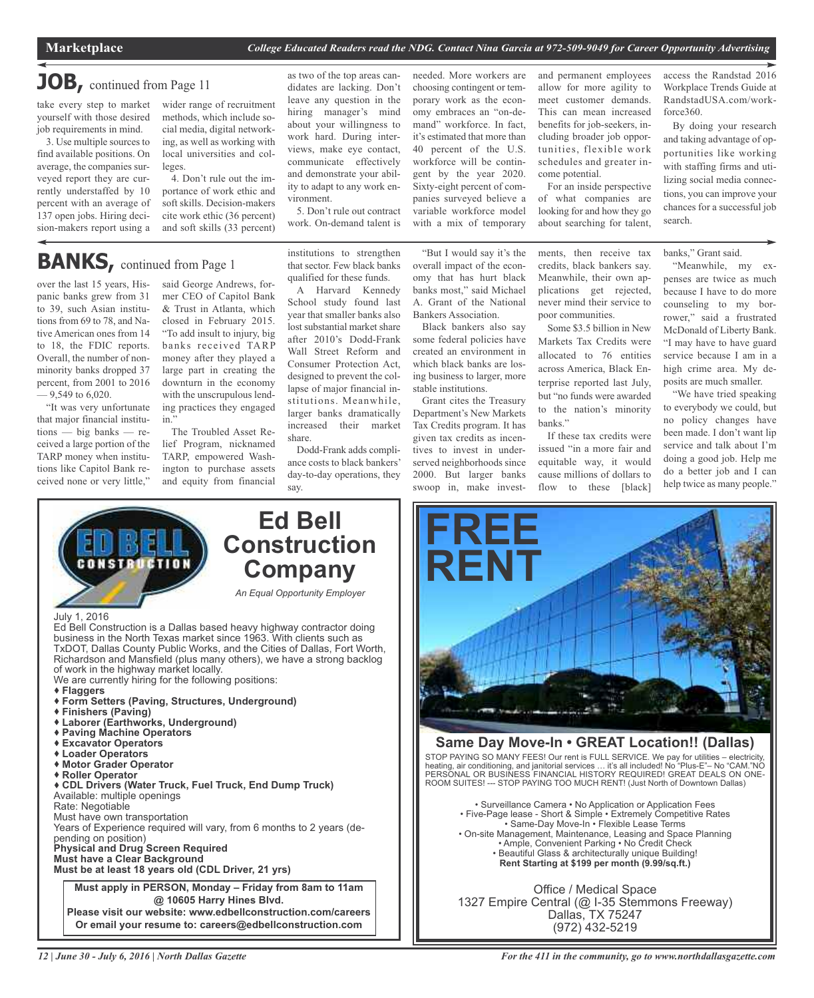## **JOB,** continued from Page <sup>11</sup>

take every step to market yourself with those desired

job requirements in mind. 3. Use multiple sources to find available positions. On average, the companies surveyed report they are currently understaffed by 10 percent with an average of 137 open jobs. Hiring decision-makers report using a wider range of recruitment methods, which include social media, digital networking, as well as working with local universities and colleges.

4. Don't rule out the importance of work ethic and soft skills. Decision-makers cite work ethic (36 percent) and soft skills (33 percent)

# **BANKS**, continued from Page 1

over the last 15 years, Hispanic banks grew from 31 to 39, such Asian institutions from 69 to 78, and Native American ones from 14 to 18, the FDIC reports. Overall, the number of nonminority banks dropped 37 percent, from 2001 to 2016  $-9,549$  to 6,020.

"It was very unfortunate that major financial institutions — big banks — received a large portion of the TARP money when institutions like Capitol Bank received none or very little,"

said George Andrews, former CEO of Capitol Bank & Trust in Atlanta, which closed in February 2015. "To add insult to injury, big banks received TARP money after they played a large part in creating the downturn in the economy with the unscrupulous lending practices they engaged in."

The Troubled Asset Relief Program, nicknamed TARP, empowered Washington to purchase assets and equity from financial as two of the top areas candidates are lacking. Don't leave any question in the hiring manager's mind about your willingness to work hard. During interviews, make eye contact, communicate effectively and demonstrate your ability to adapt to any work environment.

5. Don't rule out contract work. On-demand talent is

institutions to strengthen that sector. Few black banks qualified for these funds.

A Harvard Kennedy School study found last year that smaller banks also lost substantial market share after 2010's Dodd-Frank Wall Street Reform and Consumer Protection Act, designed to prevent the collapse of major financial institutions. Meanwhile, larger banks dramatically increased their market share.

Dodd-Frank adds compliance costs to black bankers' day-to-day operations, they say.

needed. More workers are choosing contingent or temporary work as the economy embraces an "on-demand" workforce. In fact, it's estimated that more than 40 percent of the U.S. workforce will be contingent by the year 2020. Sixty-eight percent of companies surveyed believe a variable workforce model with a mix of temporary

"But I would say it's the overall impact of the economy that has hurt black banks most," said Michael A. Grant of the National Bankers Association.

Black bankers also say some federal policies have created an environment in which black banks are losing business to larger, more stable institutions.

Grant cites the Treasury Department's New Markets Tax Credits program. It has given tax credits as incentives to invest in underserved neighborhoods since 2000. But larger banks swoop in, make investand permanent employees allow for more agility to meet customer demands. This can mean increased benefits for job-seekers, including broader job opportunities, flexible work schedules and greater income potential.

For an inside perspective of what companies are looking for and how they go about searching for talent,

ments, then receive tax credits, black bankers say. Meanwhile, their own applications get rejected, never mind their service to poor communities.

Some \$3.5 billion in New Markets Tax Credits were allocated to 76 entities across America, Black Enterprise reported last July, but "no funds were awarded to the nation's minority banks."

If these tax credits were issued "in a more fair and equitable way, it would cause millions of dollars to flow to these [black]

access the Randstad 2016 Workplace Trends Guide at RandstadUSA.com/workforce360.

By doing your research and taking advantage of opportunities like working with staffing firms and utilizing social media connections, you can improve your chances for a successful job search.

banks," Grant said.

"Meanwhile, my expenses are twice as much because I have to do more counseling to my borrower," said a frustrated McDonald of Liberty Bank. "I may have to have guard service because I am in a high crime area. My deposits are much smaller.

"We have tried speaking to everybody we could, but no policy changes have been made. I don't want lip service and talk about I'm doing a good job. Help me do a better job and I can help twice as many people."



We are currently hiring for the following positions: **Flaggers Form Setters (Paving, Structures, Underground) Finishers (Paving) Laborer (Earthworks, Underground)**

- **Paving Machine Operators**
- **Excavator Operators**
- 
- 
- **Roller Operator**

 **CDL Drivers (Water Truck, Fuel Truck, End Dump Truck)** Available: multiple openings Rate: Negotiable Must have own transportation Years of Experience required will vary, from 6 months to 2 years (depending on position) **Physical and Drug Screen Required Must have a Clear Background Must be at least 18 years old (CDL Driver, 21 yrs)**

**Must apply in PERSON, Monday – Friday from 8am to 11am @ 10605 Harry Hines Blvd. Please visit our website: www.edbellconstruction.com/careers Or email your resume to: careers@edbellconstruction.com**

# **FREE RENT**

## **Same Day Move-In • GREAT Location!! (Dallas)**

STOP PAYING SO MANY FEES! Our rent is FULL SERVICE. We pay for utilities – electricity, heating, air conditioning, and janitorial services … it's all included! No "Plus-E"– No "CAM."NO PERSONAL OR BUSINESS FINANCIAL HISTORY REQUIRED! GREAT DEALS ON ONE-ROOM SUITES! --- STOP PAYING TOO MUCH RENT! (Just North of Downtown Dallas)

• Surveillance Camera • No Application or Application Fees • Five-Page lease - Short & Simple • Extremely Competitive Rates • Same-Day Move-In • Flexible Lease Terms • On-site Management, Maintenance, Leasing and Space Planning • Ample, Convenient Parking • No Credit Check • Beautiful Glass & architecturally unique Building! **Rent Starting at \$199 per month (9.99/sq.ft.)**

Office / Medical Space 1327 Empire Central (@ I-35 Stemmons Freeway) Dallas, TX 75247 (972) 432-5219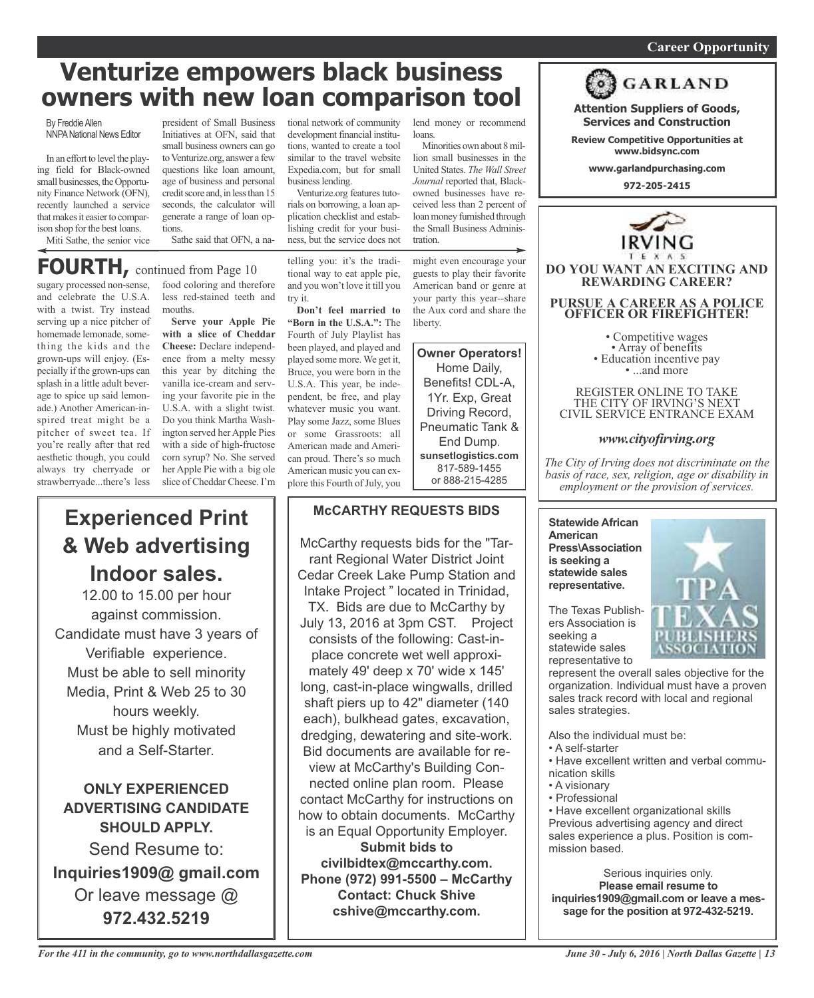## *On a quest for qualified candidates? Contact Nina Garcia at 972-509-9049* **Career Opportunity**

**Attention Suppliers of Goods, Services and Construction Review Competitive Opportunities at www.bidsync.com www.garlandpurchasing.com 972-205-2415**

**GARLAND** 

**DO YOU WANT AN EXCITING AND REWARDING CAREER?**

**PURSUE A CAREER AS A POLICE OFFICER OR FIREFIGHTER!**

• Competitive wages<br>• Array of benefits<br>• Education incentive pay<br>• ...and more

REGISTER ONLINE TO TAKE THE CITY OF IRVING'S NEXT CIVIL SERVICE ENTRANCE EXAM

*www.cityofirving.org*

# **Venturize empowers black business owners with new loan comparison tool**

By Freddie Allen **NNPA National News Editor** 

In an effort to level the playing field for Black-owned small businesses, the Opportunity Finance Network (OFN), recently launched a service that makes it easier to comparison shop for the best loans. Miti Sathe, the senior vice

president of Small Business Initiatives at OFN, said that small business owners can go to Venturize.org, answer a few questions like loan amount, age of business and personal credit score and, in less than 15 seconds, the calculator will generate a range of loan options.

Sathe said that OFN, a na-

# **FOURTH,** continued from Page <sup>10</sup>

sugary processed non-sense, and celebrate the U.S.A. with a twist. Try instead serving up a nice pitcher of homemade lemonade, something the kids and the grown-ups will enjoy. (Especially if the grown-ups can splash in a little adult beverage to spice up said lemonade.) Another American-inspired treat might be a pitcher of sweet tea. If you're really after that red aesthetic though, you could always try cherryade or strawberryade...there's less

food coloring and therefore less red-stained teeth and mouths.

**Serve your Apple Pie with a slice of Cheddar Cheese:** Declare independence from a melty messy this year by ditching the vanilla ice-cream and serving your favorite pie in the U.S.A. with a slight twist. Do you think Martha Washington served her Apple Pies with a side of high-fructose corn syrup? No. She served her Apple Pie with a big ole slice of Cheddar Cheese. I'm

**Experienced Print**

**& Web advertising**

**Indoor sales.**

12.00 to 15.00 per hour against commission. Candidate must have 3 years of Verifiable experience. Must be able to sell minority Media, Print & Web 25 to 30 hours weekly. Must be highly motivated and a Self-Starter.

**ONLY EXPERIENCED ADVERTISING CANDIDATE SHOULD APPLY.**

Send Resume to:

**Inquiries1909@ gmail.com**

Or leave message @ **972.432.5219**

tional network of community development financial institutions, wanted to create a tool similar to the travel website Expedia.com, but for small business lending.

Venturize.org features tutorials on borrowing, a loan application checklist and establishing credit for your business, but the service does not

telling you: it's the traditional way to eat apple pie, and you won't love it till you try it.

**Don't feel married to "Born in the U.S.A.":** The Fourth of July Playlist has been played, and played and played some more. We get it, Bruce, you were born in the U.S.A. This year, be independent, be free, and play whatever music you want. Play some Jazz, some Blues or some Grassroots: all American made and American proud. There's so much American music you can explore this Fourth of July, you

## **McCARTHY REQUESTS BIDS**

McCarthy requests bids for the "Tarrant Regional Water District Joint Cedar Creek Lake Pump Station and Intake Project " located in Trinidad, TX. Bids are due to McCarthy by July 13, 2016 at 3pm CST. Project consists of the following: Cast-inplace concrete wet well approximately 49' deep x 70' wide x 145' long, cast-in-place wingwalls, drilled shaft piers up to 42" diameter (140 each), bulkhead gates, excavation, dredging, dewatering and site-work. Bid documents are available for review at McCarthy's Building Connected online plan room. Please contact McCarthy for instructions on how to obtain documents. McCarthy is an Equal Opportunity Employer. **Submit bids to civilbidtex@mccarthy.com. Phone (972) 991-5500 – McCarthy Contact: Chuck Shive cshive@mccarthy.com.**

lend money or recommend loans.

Minorities own about 8million small businesses in the United States. *The Wall Street Journal* reported that, Blackowned businesses have received less than 2 percent of loan money furnished through the Small Business Administration.

might even encourage your guests to play their favorite American band or genre at your party this year--share the Aux cord and share the liberty.

**Owner Operators!** Home Daily, Benefits! CDL-A, 1Yr. Exp, Great Driving Record, Pneumatic Tank & End Dump. **sunsetlogistics.com** 817-589-1455 or 888-215-4285

*The City of Irving does not discriminate on the basis of race, sex, religion, age or disability in employment or the provision of services.*

**Statewide African American Press\Association is seeking a statewide sales representative.**

The Texas Publishers Association is seeking a statewide sales representative to

represent the overall sales objective for the organization. Individual must have a proven sales track record with local and regional sales strategies.

Also the individual must be:

- A self-starter
- Have excellent written and verbal communication skills
- A visionary
- Professional

• Have excellent organizational skills Previous advertising agency and direct sales experience a plus. Position is commission based.

Serious inquiries only. **Please email resume to inquiries1909@gmail.com or leave a message for the position at 972-432-5219.**

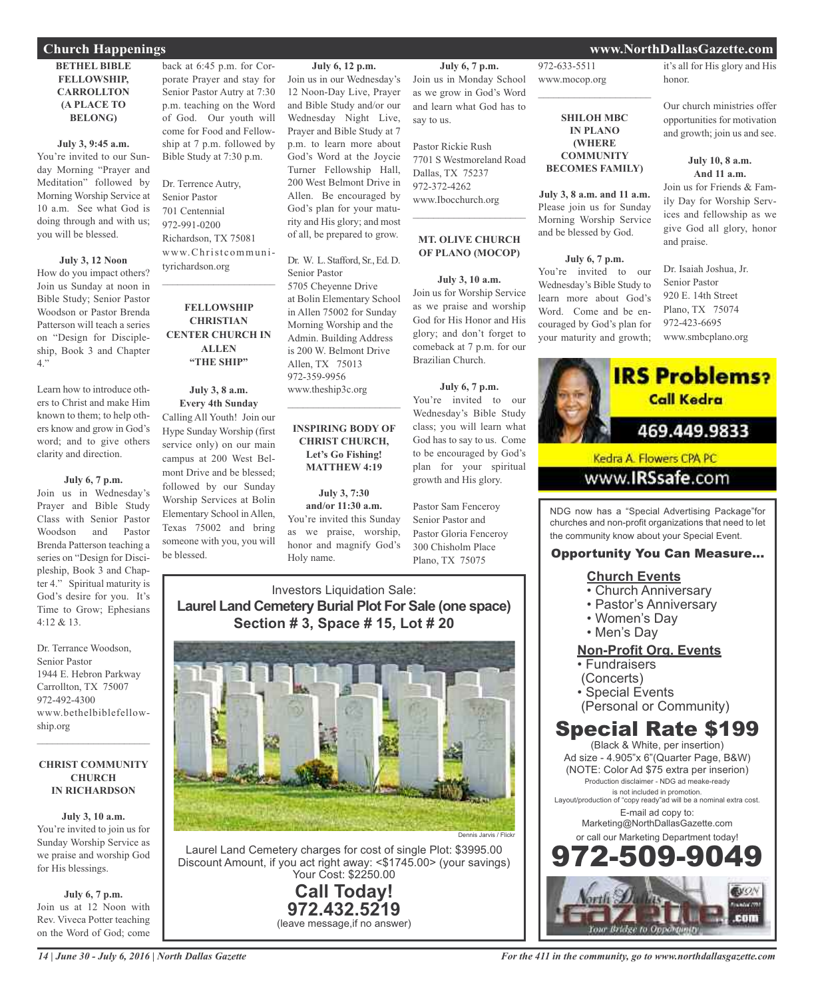## **BETHEL BIBLE FELLOWSHIP, CARROLLTON (A PLACE TO BELONG)**

#### **July 3, 9:45 a.m.**

You're invited to our Sunday Morning "Prayer and Meditation" followed by Morning Worship Service at 10 a.m. See what God is doing through and with us; you will be blessed.

## **July 3, 12 Noon**

How do you impact others? Join us Sunday at noon in Bible Study; Senior Pastor Woodson or Pastor Brenda Patterson will teach a series on "Design for Discipleship, Book 3 and Chapter 4."

Learn how to introduce others to Christ and make Him known to them; to help others know and grow in God's word; and to give others clarity and direction.

## **July 6, 7 p.m.**

Join us in Wednesday's Prayer and Bible Study Class with Senior Pastor Woodson and Pastor Brenda Patterson teaching a series on "Design for Discipleship, Book 3 and Chapter 4." Spiritual maturity is God's desire for you. It's Time to Grow; Ephesians 4:12 & 13.

Dr. Terrance Woodson, Senior Pastor 1944 E. Hebron Parkway Carrollton, TX 75007 972-492-4300 www.bethelbiblefellowship.org

## **CHRIST COMMUNITY CHURCH IN RICHARDSON**

 $\mathcal{L}_\text{max}$  , which is a set of the set of the set of the set of the set of the set of the set of the set of the set of the set of the set of the set of the set of the set of the set of the set of the set of the set of

**July 3, 10 a.m.** You're invited to join us for Sunday Worship Service as we praise and worship God for His blessings.

**July 6, 7 p.m.** Join us at 12 Noon with Rev. Viveca Potter teaching on the Word of God; come

back at 6:45 p.m. for Corporate Prayer and stay for Senior Pastor Autry at 7:30 p.m. teaching on the Word of God. Our youth will come for Food and Fellowship at 7 p.m. followed by Bible Study at 7:30 p.m.

Dr. Terrence Autry, Senior Pastor 701 Centennial 972-991-0200 Richardson, TX 75081 www.Christcommunityrichardson.org

## **FELLOWSHIP CHRISTIAN CENTER CHURCH IN ALLEN "THE SHIP"**

 $\mathcal{L}_\text{max}$  , which is a set of the set of the set of the set of the set of the set of the set of the set of the set of the set of the set of the set of the set of the set of the set of the set of the set of the set of

## **July 3, 8 a.m. Every 4th Sunday** Calling All Youth! Join our Hype Sunday Worship (first service only) on our main campus at 200 West Belmont Drive and be blessed; followed by our Sunday Worship Services at Bolin Elementary School in Allen, Texas 75002 and bring someone with you, you will be blessed.

**July 6, 12 p.m.**

Join us in our Wednesday's 12 Noon-Day Live, Prayer and Bible Study and/or our Wednesday Night Live, Prayer and Bible Study at 7 p.m. to learn more about God's Word at the Joycie Turner Fellowship Hall, 200 West Belmont Drive in Allen. Be encouraged by God's plan for your maturity and His glory; and most of all, be prepared to grow.

Dr. W. L. Stafford, Sr., Ed. D. Senior Pastor 5705 Cheyenne Drive at Bolin Elementary School in Allen 75002 for Sunday Morning Worship and the Admin. Building Address is 200 W. Belmont Drive Allen, TX 75013 972-359-9956 www.theship3c.org

## **INSPIRING BODY OF CHRIST CHURCH, Let's Go Fishing! MATTHEW 4:19**

 $\overline{\phantom{a}}$  , and the set of the set of the set of the set of the set of the set of the set of the set of the set of the set of the set of the set of the set of the set of the set of the set of the set of the set of the s

**July 3, 7:30 and/or 11:30 a.m.** You're invited this Sunday as we praise, worship, honor and magnify God's Holy name.

**July 6, 7 p.m.** Join us in Monday School as we grow in God's Word and learn what God has to say to us.

972-633-5511 www.mocop.org

 $\mathcal{L}_\text{max}$  , which is a set of the set of the set of the set of the set of the set of the set of the set of the set of the set of the set of the set of the set of the set of the set of the set of the set of the set of

**SHILOH MBC IN PLANO (WHERE COMMUNITY BECOMES FAMILY)**

**July 3, 8 a.m. and 11 a.m.** Please join us for Sunday Morning Worship Service and be blessed by God.

**July 6, 7 p.m.** You're invited to our Wednesday's Bible Study to learn more about God's Word. Come and be encouraged by God's plan for your maturity and growth;

Pastor Rickie Rush 7701 S Westmoreland Road Dallas, TX 75237 972-372-4262 www.Ibocchurch.org  $\mathcal{L}=\mathcal{L}^{\mathcal{L}}$  , where  $\mathcal{L}^{\mathcal{L}}$  , we have the set of the set of the set of the set of the set of the set of the set of the set of the set of the set of the set of the set of the set of the set of the set of

## **MT. OLIVE CHURCH OF PLANO (MOCOP)**

**July 3, 10 a.m.** Join us for Worship Service as we praise and worship God for His Honor and His glory; and don't forget to comeback at 7 p.m. for our Brazilian Church.

## **July 6, 7 p.m.**

You're invited to our Wednesday's Bible Study class; you will learn what God has to say to us. Come to be encouraged by God's plan for your spiritual growth and His glory.

Pastor Sam Fenceroy Senior Pastor and Pastor Gloria Fenceroy 300 Chisholm Place Plano, TX 75075

## Investors Liquidation Sale: **Laurel Land Cemetery Burial Plot For Sale (one space) Section # 3, Space # 15, Lot # 20**



Laurel Land Cemetery charges for cost of single Plot: \$3995.00 Discount Amount, if you act right away: <\$1745.00> (your savings) Your Cost: \$2250.00

> **Call Today! 972.432.5219** (leave message,if no answer)

## **Church Happenings www.NorthDallasGazette.com**

it's all for His glory and His honor.

Our church ministries offer opportunities for motivation and growth; join us and see.

## **July 10, 8 a.m. And 11 a.m.**

Join us for Friends & Family Day for Worship Services and fellowship as we give God all glory, honor and praise.

Dr. Isaiah Joshua, Jr. Senior Pastor 920 E. 14th Street Plano, TX 75074 972-423-6695 www.smbcplano.org



www.**IRSsafe**.com

NDG now has a "Special Advertising Package"for churches and non-profit organizations that need to let the community know about your Special Event.

## Opportunity You Can Measure...

## **Church Events**

- Church Anniversary
- Pastor's Anniversary
- Women's Day
- Men's Day

## **Non-Profit Org. Events**

- Fundraisers
- (Concerts)
- Special Events
- (Personal or Community)

# Special Rate \$199

(Black & White, per insertion) Ad size - 4.905"x 6"(Quarter Page, B&W) (NOTE: Color Ad \$75 extra per inserion) Production disclaimer - NDG ad meake-ready is not included in promotion. Layout/production of "copy ready"ad will be a nominal extra cost. E-mail ad copy to: Marketing@NorthDallasGazette.com or call our Marketing Department today! 972-509-9049

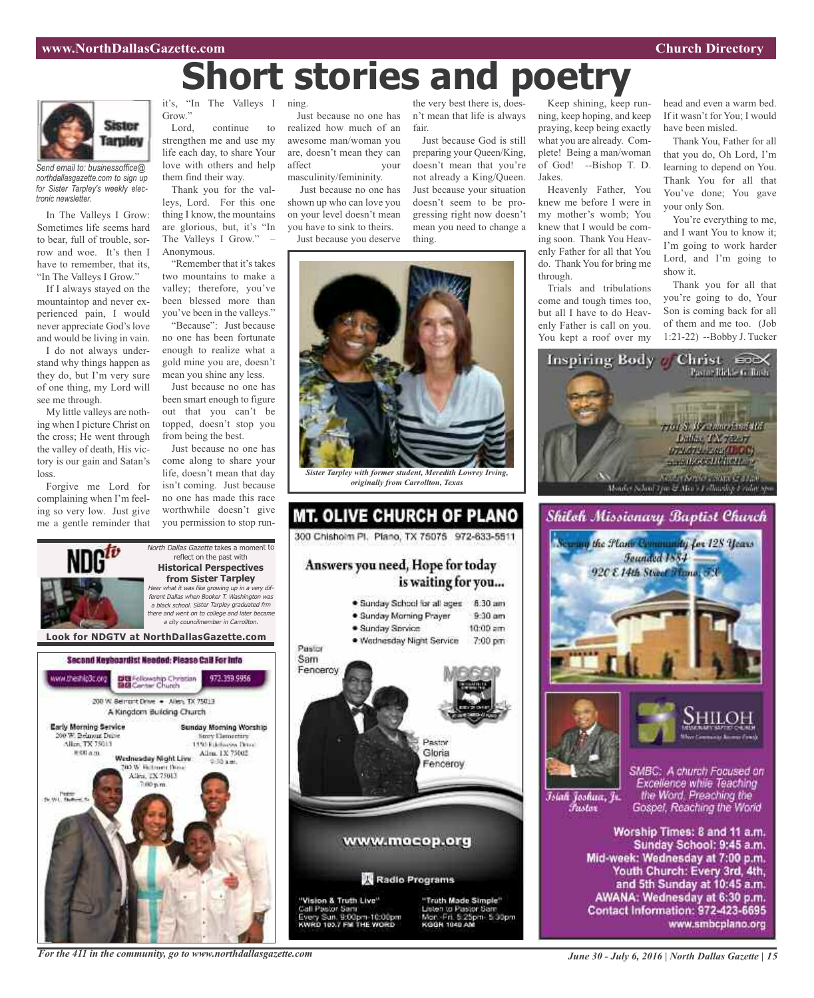# **Short stories and poetry**



*Send email to: businessoffice@ northdallasgazette.com to sign up for Sister Tarpley's weekly electronic newsletter.*

In The Valleys I Grow: Sometimes life seems hard to bear, full of trouble, sorrow and woe. It's then I have to remember, that its, "In The Valleys I Grow."

If I always stayed on the mountaintop and never experienced pain, I would never appreciate God's love and would be living in vain.

I do not always understand why things happen as they do, but I'm very sure of one thing, my Lord will see me through.

My little valleys are nothing when I picture Christ on the cross; He went through the valley of death, His victory is our gain and Satan's loss.

Forgive me Lord for complaining when I'm feeling so very low. Just give me a gentle reminder that

it's, "In The Valleys I ning. Grow."

Lord, continue to strengthen me and use my life each day, to share Your love with others and help them find their way.

Thank you for the valleys, Lord. For this one thing I know, the mountains are glorious, but, it's "In The Valleys I Grow." Anonymous.

"Remember that it's takes two mountains to make a valley; therefore, you've been blessed more than you've been in the valleys."

"Because": Just because no one has been fortunate enough to realize what a gold mine you are, doesn't mean you shine any less.

Just because no one has been smart enough to figure out that you can't be topped, doesn't stop you from being the best.

Just because no one has come along to share your life, doesn't mean that day isn't coming. Just because no one has made this race worthwhile doesn't give you permission to stop run-

North Dallas Gazette takes a moment to reflect on the past with

Just because no one has realized how much of an awesome man/woman you are, doesn't mean they can affect your masculinity/femininity.

Just because no one has shown up who can love you on your level doesn't mean you have to sink to theirs. Just because you deserve

the very best there is, doesn't mean that life is always fair.

Just because God is still preparing your Queen/King, doesn't mean that you're not already a King/Queen. Just because your situation doesn't seem to be progressing right now doesn't mean you need to change a thing.



*originally from Carrollton, Texas*



Keep shining, keep running, keep hoping, and keep praying, keep being exactly what you are already. Complete! Being a man/woman of God! --Bishop T. D. Jakes.

Heavenly Father, You knew me before I were in my mother's womb; You knew that I would be coming soon. Thank You Heavenly Father for all that You do. Thank You for bring me through.

Trials and tribulations come and tough times too, but all I have to do Heavenly Father is call on you. You kept a roof over my head and even a warm bed. If it wasn't for You; I would have been misled.

Thank You, Father for all that you do, Oh Lord, I'm learning to depend on You. Thank You for all that You've done; You gave your only Son.

You're everything to me, and I want You to know it; I'm going to work harder Lord, and I'm going to show it.

Thank you for all that you're going to do, Your Son is coming back for all of them and me too. (Job 1:21-22) --Bobby J. Tucker







Īsiah Joshua, Jr. Fustor

SMBC: A church Focused on Excellence while Teaching the Word. Preaching the Gospel, Reaching the World

Worship Times: 8 and 11 a.m. Sunday School: 9:45 a.m. Mid-week: Wednesday at 7:00 p.m. Youth Church: Every 3rd, 4th, and 5th Sunday at 10:45 a.m. AWANA: Wednesday at 6:30 p.m. Contact Information: 972-423-6695 www.smbcplano.org



*For the 411 in the community, go to www.northdallasgazette.com*